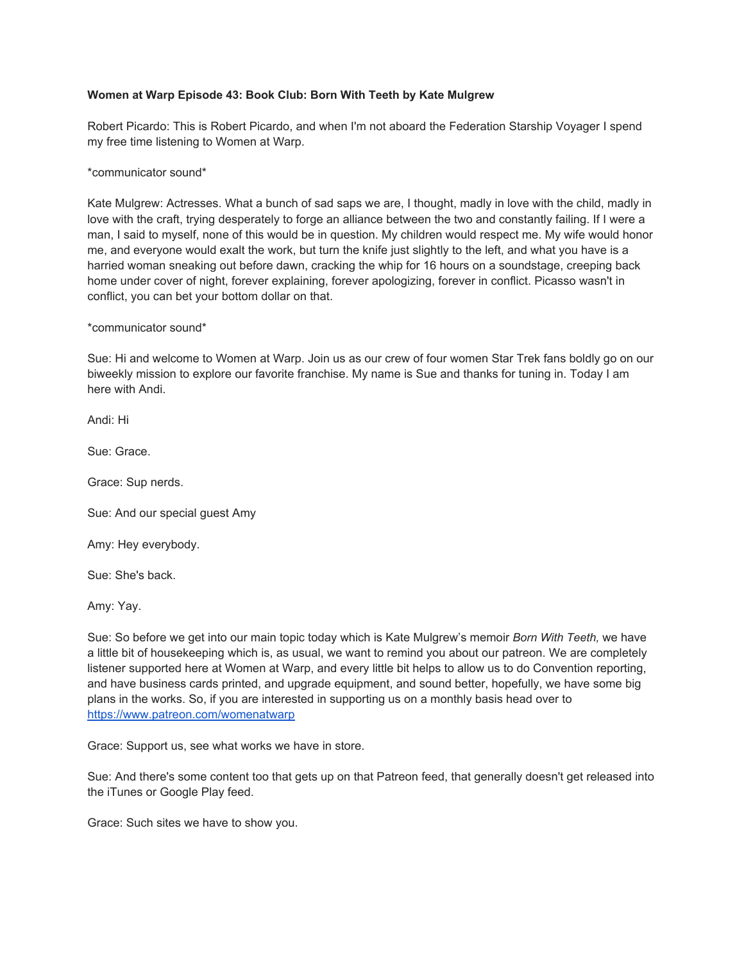## **Women at Warp Episode 43: Book Club: Born With Teeth by Kate Mulgrew**

Robert Picardo: This is Robert Picardo, and when I'm not aboard the Federation Starship Voyager I spend my free time listening to Women at Warp.

\*communicator sound\*

Kate Mulgrew: Actresses. What a bunch of sad saps we are, I thought, madly in love with the child, madly in love with the craft, trying desperately to forge an alliance between the two and constantly failing. If I were a man, I said to myself, none of this would be in question. My children would respect me. My wife would honor me, and everyone would exalt the work, but turn the knife just slightly to the left, and what you have is a harried woman sneaking out before dawn, cracking the whip for 16 hours on a soundstage, creeping back home under cover of night, forever explaining, forever apologizing, forever in conflict. Picasso wasn't in conflict, you can bet your bottom dollar on that.

\*communicator sound\*

Sue: Hi and welcome to Women at Warp. Join us as our crew of four women Star Trek fans boldly go on our biweekly mission to explore our favorite franchise. My name is Sue and thanks for tuning in. Today I am here with Andi.

Andi: Hi

Sue: Grace.

Grace: Sup nerds.

Sue: And our special guest Amy

Amy: Hey everybody.

Sue: She's back.

Amy: Yay.

Sue: So before we get into our main topic today which is Kate Mulgrew's memoir *Born With Teeth,* we have a little bit of housekeeping which is, as usual, we want to remind you about our patreon. We are completely listener supported here at Women at Warp, and every little bit helps to allow us to do Convention reporting, and have business cards printed, and upgrade equipment, and sound better, hopefully, we have some big plans in the works. So, if you are interested in supporting us on a monthly basis head over to <https://www.patreon.com/womenatwarp>

Grace: Support us, see what works we have in store.

Sue: And there's some content too that gets up on that Patreon feed, that generally doesn't get released into the iTunes or Google Play feed.

Grace: Such sites we have to show you.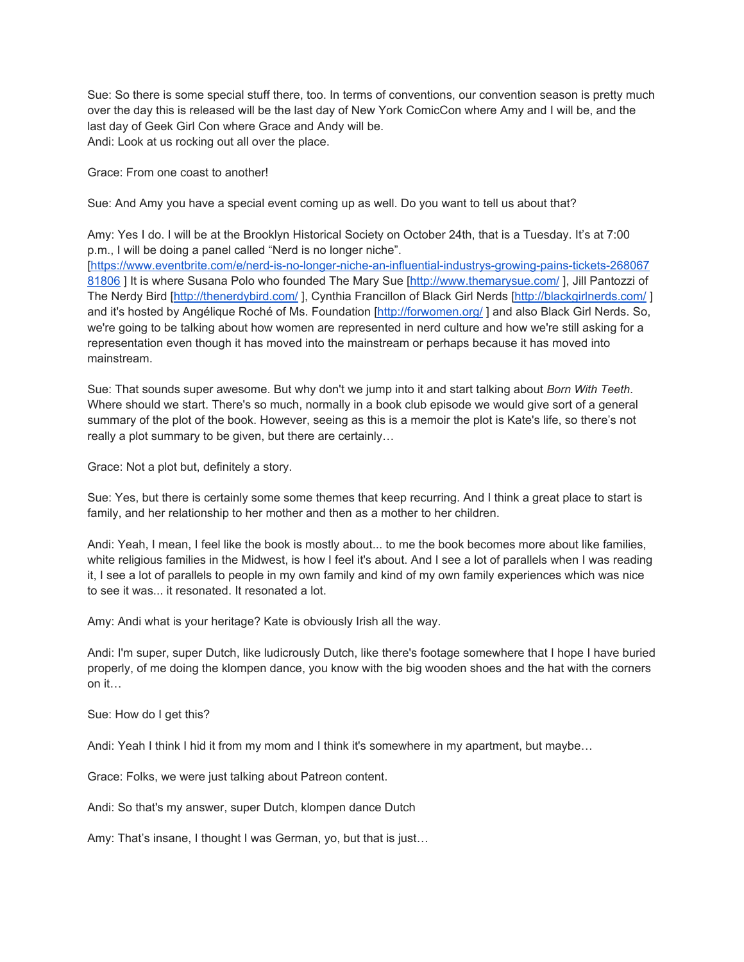Sue: So there is some special stuff there, too. In terms of conventions, our convention season is pretty much over the day this is released will be the last day of New York ComicCon where Amy and I will be, and the last day of Geek Girl Con where Grace and Andy will be. Andi: Look at us rocking out all over the place.

Grace: From one coast to another!

Sue: And Amy you have a special event coming up as well. Do you want to tell us about that?

Amy: Yes I do. I will be at the Brooklyn Historical Society on October 24th, that is a Tuesday. It's at 7:00 p.m., I will be doing a panel called "Nerd is no longer niche". [\[https://www.eventbrite.com/e/nerd-is-no-longer-niche-an-influential-industrys-growing-pains-tickets-268067](https://www.eventbrite.com/e/nerd-is-no-longer-niche-an-influential-industrys-growing-pains-tickets-26806781806) [81806](https://www.eventbrite.com/e/nerd-is-no-longer-niche-an-influential-industrys-growing-pains-tickets-26806781806) ] It is where Susana Polo who founded The Mary Sue [http://www.themarysue.com/], Jill Pantozzi of The Nerdy Bird [<http://thenerdybird.com/>], Cynthia Francillon of Black Girl Nerds [\[http://blackgirlnerds.com/](http://blackgirlnerds.com/) ]

and it's hosted by Angélique Roché of Ms. Foundation [http://forwomen.org/] and also Black Girl Nerds. So, we're going to be talking about how women are represented in nerd culture and how we're still asking for a representation even though it has moved into the mainstream or perhaps because it has moved into mainstream.

Sue: That sounds super awesome. But why don't we jump into it and start talking about *Born With Teeth*. Where should we start. There's so much, normally in a book club episode we would give sort of a general summary of the plot of the book. However, seeing as this is a memoir the plot is Kate's life, so there's not really a plot summary to be given, but there are certainly…

Grace: Not a plot but, definitely a story.

Sue: Yes, but there is certainly some some themes that keep recurring. And I think a great place to start is family, and her relationship to her mother and then as a mother to her children.

Andi: Yeah, I mean, I feel like the book is mostly about... to me the book becomes more about like families, white religious families in the Midwest, is how I feel it's about. And I see a lot of parallels when I was reading it, I see a lot of parallels to people in my own family and kind of my own family experiences which was nice to see it was... it resonated. It resonated a lot.

Amy: Andi what is your heritage? Kate is obviously Irish all the way.

Andi: I'm super, super Dutch, like ludicrously Dutch, like there's footage somewhere that I hope I have buried properly, of me doing the klompen dance, you know with the big wooden shoes and the hat with the corners on it…

Sue: How do I get this?

Andi: Yeah I think I hid it from my mom and I think it's somewhere in my apartment, but maybe…

Grace: Folks, we were just talking about Patreon content.

Andi: So that's my answer, super Dutch, klompen dance Dutch

Amy: That's insane, I thought I was German, yo, but that is just…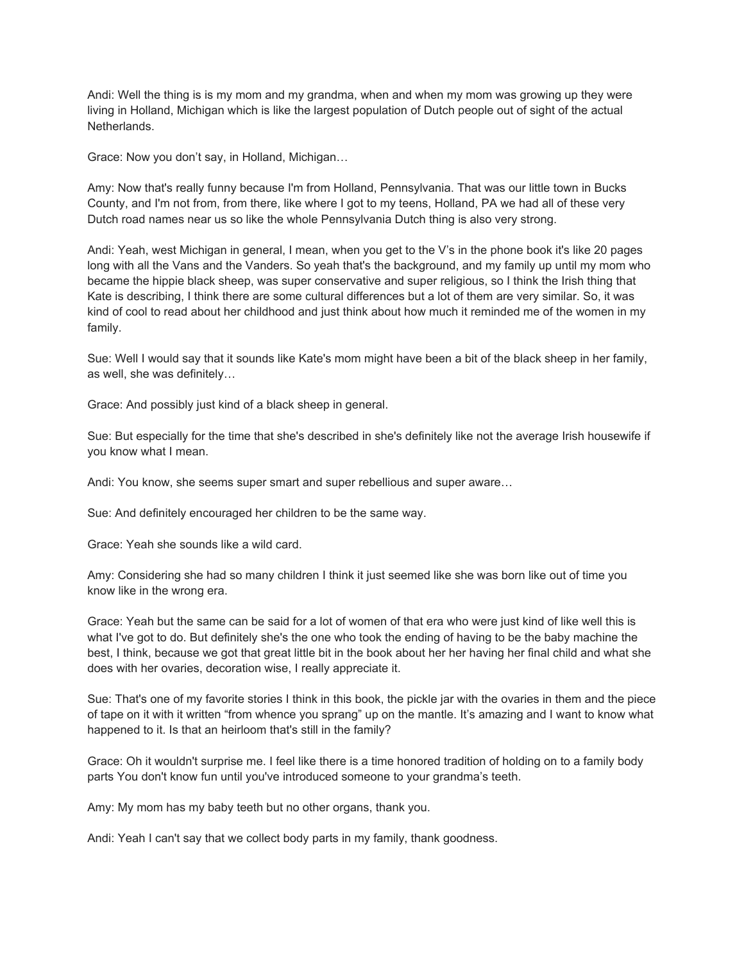Andi: Well the thing is is my mom and my grandma, when and when my mom was growing up they were living in Holland, Michigan which is like the largest population of Dutch people out of sight of the actual Netherlands.

Grace: Now you don't say, in Holland, Michigan…

Amy: Now that's really funny because I'm from Holland, Pennsylvania. That was our little town in Bucks County, and I'm not from, from there, like where I got to my teens, Holland, PA we had all of these very Dutch road names near us so like the whole Pennsylvania Dutch thing is also very strong.

Andi: Yeah, west Michigan in general, I mean, when you get to the V's in the phone book it's like 20 pages long with all the Vans and the Vanders. So yeah that's the background, and my family up until my mom who became the hippie black sheep, was super conservative and super religious, so I think the Irish thing that Kate is describing, I think there are some cultural differences but a lot of them are very similar. So, it was kind of cool to read about her childhood and just think about how much it reminded me of the women in my family.

Sue: Well I would say that it sounds like Kate's mom might have been a bit of the black sheep in her family, as well, she was definitely…

Grace: And possibly just kind of a black sheep in general.

Sue: But especially for the time that she's described in she's definitely like not the average Irish housewife if you know what I mean.

Andi: You know, she seems super smart and super rebellious and super aware…

Sue: And definitely encouraged her children to be the same way.

Grace: Yeah she sounds like a wild card.

Amy: Considering she had so many children I think it just seemed like she was born like out of time you know like in the wrong era.

Grace: Yeah but the same can be said for a lot of women of that era who were just kind of like well this is what I've got to do. But definitely she's the one who took the ending of having to be the baby machine the best, I think, because we got that great little bit in the book about her her having her final child and what she does with her ovaries, decoration wise, I really appreciate it.

Sue: That's one of my favorite stories I think in this book, the pickle jar with the ovaries in them and the piece of tape on it with it written "from whence you sprang" up on the mantle. It's amazing and I want to know what happened to it. Is that an heirloom that's still in the family?

Grace: Oh it wouldn't surprise me. I feel like there is a time honored tradition of holding on to a family body parts You don't know fun until you've introduced someone to your grandma's teeth.

Amy: My mom has my baby teeth but no other organs, thank you.

Andi: Yeah I can't say that we collect body parts in my family, thank goodness.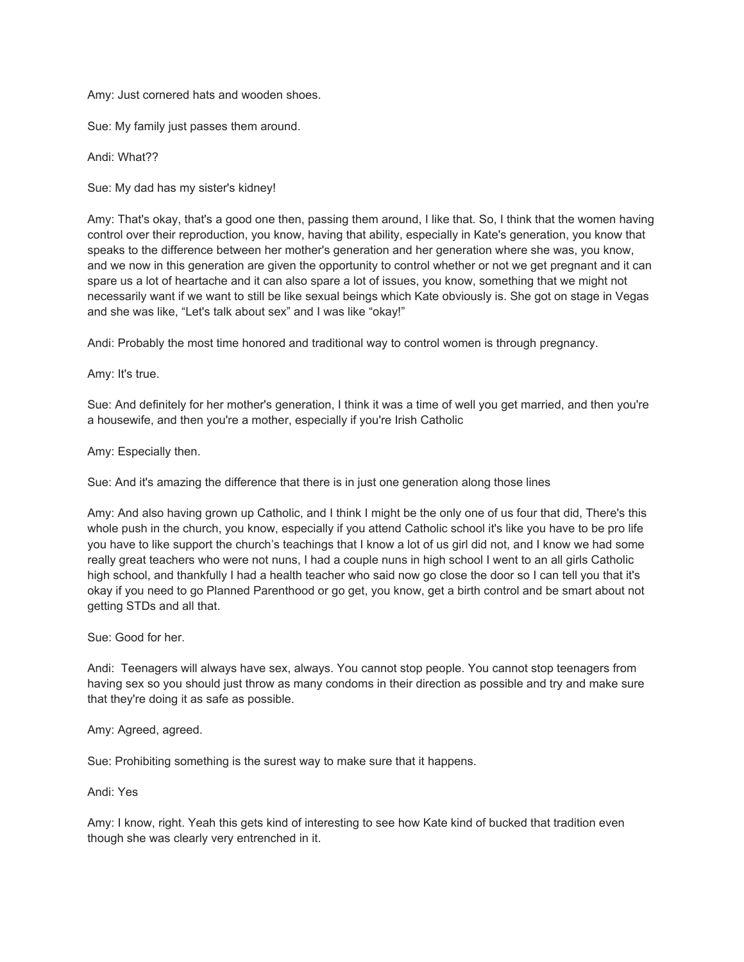Amy: Just cornered hats and wooden shoes.

Sue: My family just passes them around.

Andi: What??

Sue: My dad has my sister's kidney!

Amy: That's okay, that's a good one then, passing them around, I like that. So, I think that the women having control over their reproduction, you know, having that ability, especially in Kate's generation, you know that speaks to the difference between her mother's generation and her generation where she was, you know, and we now in this generation are given the opportunity to control whether or not we get pregnant and it can spare us a lot of heartache and it can also spare a lot of issues, you know, something that we might not necessarily want if we want to still be like sexual beings which Kate obviously is. She got on stage in Vegas and she was like, "Let's talk about sex" and I was like "okay!"

Andi: Probably the most time honored and traditional way to control women is through pregnancy.

Amy: It's true.

Sue: And definitely for her mother's generation, I think it was a time of well you get married, and then you're a housewife, and then you're a mother, especially if you're Irish Catholic

Amy: Especially then.

Sue: And it's amazing the difference that there is in just one generation along those lines

Amy: And also having grown up Catholic, and I think I might be the only one of us four that did, There's this whole push in the church, you know, especially if you attend Catholic school it's like you have to be pro life you have to like support the church's teachings that I know a lot of us girl did not, and I know we had some really great teachers who were not nuns, I had a couple nuns in high school I went to an all girls Catholic high school, and thankfully I had a health teacher who said now go close the door so I can tell you that it's okay if you need to go Planned Parenthood or go get, you know, get a birth control and be smart about not getting STDs and all that.

Sue: Good for her.

Andi: Teenagers will always have sex, always. You cannot stop people. You cannot stop teenagers from having sex so you should just throw as many condoms in their direction as possible and try and make sure that they're doing it as safe as possible.

Amy: Agreed, agreed.

Sue: Prohibiting something is the surest way to make sure that it happens.

Andi: Yes

Amy: I know, right. Yeah this gets kind of interesting to see how Kate kind of bucked that tradition even though she was clearly very entrenched in it.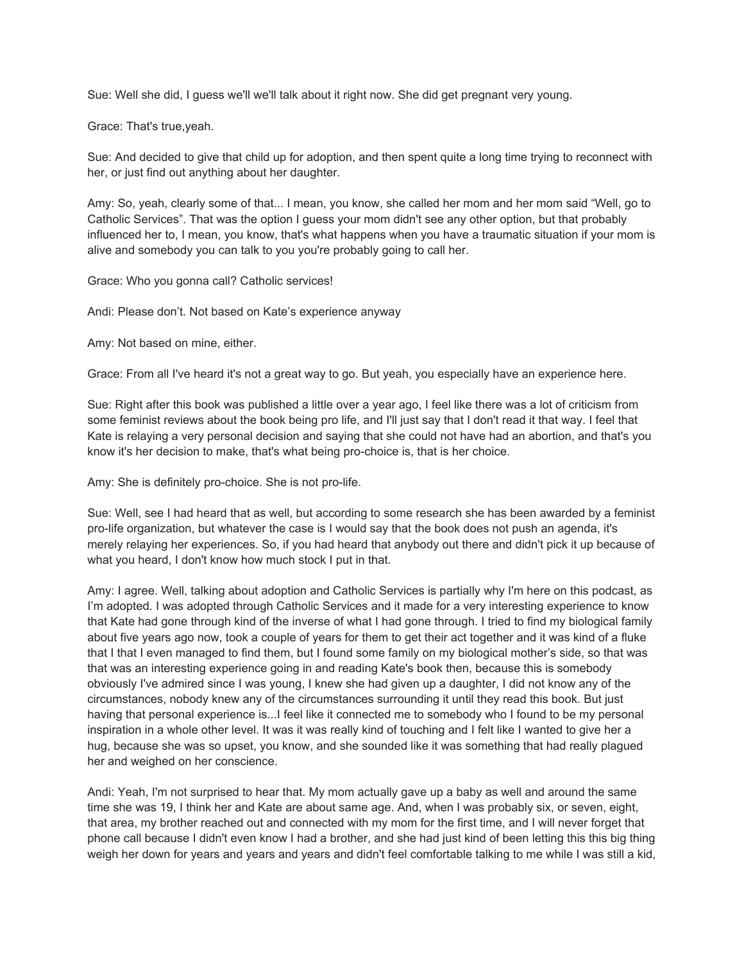Sue: Well she did, I guess we'll we'll talk about it right now. She did get pregnant very young.

Grace: That's true,yeah.

Sue: And decided to give that child up for adoption, and then spent quite a long time trying to reconnect with her, or just find out anything about her daughter.

Amy: So, yeah, clearly some of that... I mean, you know, she called her mom and her mom said "Well, go to Catholic Services". That was the option I guess your mom didn't see any other option, but that probably influenced her to, I mean, you know, that's what happens when you have a traumatic situation if your mom is alive and somebody you can talk to you you're probably going to call her.

Grace: Who you gonna call? Catholic services!

Andi: Please don't. Not based on Kate's experience anyway

Amy: Not based on mine, either.

Grace: From all I've heard it's not a great way to go. But yeah, you especially have an experience here.

Sue: Right after this book was published a little over a year ago, I feel like there was a lot of criticism from some feminist reviews about the book being pro life, and I'll just say that I don't read it that way. I feel that Kate is relaying a very personal decision and saying that she could not have had an abortion, and that's you know it's her decision to make, that's what being pro-choice is, that is her choice.

Amy: She is definitely pro-choice. She is not pro-life.

Sue: Well, see I had heard that as well, but according to some research she has been awarded by a feminist pro-life organization, but whatever the case is I would say that the book does not push an agenda, it's merely relaying her experiences. So, if you had heard that anybody out there and didn't pick it up because of what you heard, I don't know how much stock I put in that.

Amy: I agree. Well, talking about adoption and Catholic Services is partially why I'm here on this podcast, as I'm adopted. I was adopted through Catholic Services and it made for a very interesting experience to know that Kate had gone through kind of the inverse of what I had gone through. I tried to find my biological family about five years ago now, took a couple of years for them to get their act together and it was kind of a fluke that I that I even managed to find them, but I found some family on my biological mother's side, so that was that was an interesting experience going in and reading Kate's book then, because this is somebody obviously I've admired since I was young, I knew she had given up a daughter, I did not know any of the circumstances, nobody knew any of the circumstances surrounding it until they read this book. But just having that personal experience is...I feel like it connected me to somebody who I found to be my personal inspiration in a whole other level. It was it was really kind of touching and I felt like I wanted to give her a hug, because she was so upset, you know, and she sounded like it was something that had really plagued her and weighed on her conscience.

Andi: Yeah, I'm not surprised to hear that. My mom actually gave up a baby as well and around the same time she was 19, I think her and Kate are about same age. And, when I was probably six, or seven, eight, that area, my brother reached out and connected with my mom for the first time, and I will never forget that phone call because I didn't even know I had a brother, and she had just kind of been letting this this big thing weigh her down for years and years and years and didn't feel comfortable talking to me while I was still a kid,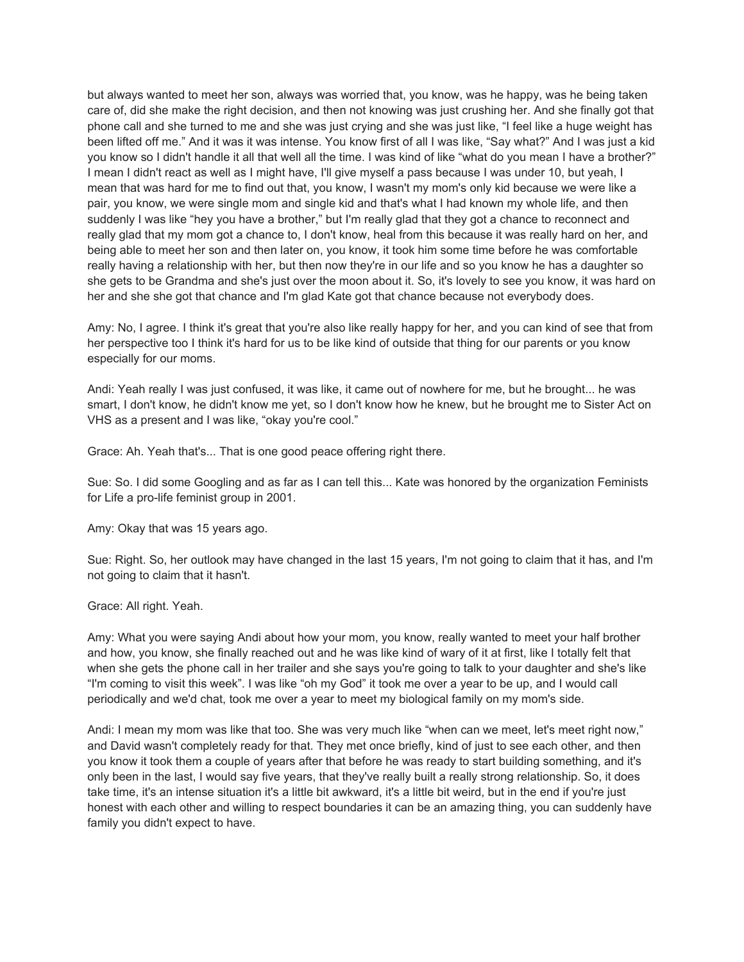but always wanted to meet her son, always was worried that, you know, was he happy, was he being taken care of, did she make the right decision, and then not knowing was just crushing her. And she finally got that phone call and she turned to me and she was just crying and she was just like, "I feel like a huge weight has been lifted off me." And it was it was intense. You know first of all I was like, "Say what?" And I was just a kid you know so I didn't handle it all that well all the time. I was kind of like "what do you mean I have a brother?" I mean I didn't react as well as I might have, I'll give myself a pass because I was under 10, but yeah, I mean that was hard for me to find out that, you know, I wasn't my mom's only kid because we were like a pair, you know, we were single mom and single kid and that's what I had known my whole life, and then suddenly I was like "hey you have a brother," but I'm really glad that they got a chance to reconnect and really glad that my mom got a chance to, I don't know, heal from this because it was really hard on her, and being able to meet her son and then later on, you know, it took him some time before he was comfortable really having a relationship with her, but then now they're in our life and so you know he has a daughter so she gets to be Grandma and she's just over the moon about it. So, it's lovely to see you know, it was hard on her and she she got that chance and I'm glad Kate got that chance because not everybody does.

Amy: No, I agree. I think it's great that you're also like really happy for her, and you can kind of see that from her perspective too I think it's hard for us to be like kind of outside that thing for our parents or you know especially for our moms.

Andi: Yeah really I was just confused, it was like, it came out of nowhere for me, but he brought... he was smart, I don't know, he didn't know me yet, so I don't know how he knew, but he brought me to Sister Act on VHS as a present and I was like, "okay you're cool."

Grace: Ah. Yeah that's... That is one good peace offering right there.

Sue: So. I did some Googling and as far as I can tell this... Kate was honored by the organization Feminists for Life a pro-life feminist group in 2001.

Amy: Okay that was 15 years ago.

Sue: Right. So, her outlook may have changed in the last 15 years, I'm not going to claim that it has, and I'm not going to claim that it hasn't.

Grace: All right. Yeah.

Amy: What you were saying Andi about how your mom, you know, really wanted to meet your half brother and how, you know, she finally reached out and he was like kind of wary of it at first, like I totally felt that when she gets the phone call in her trailer and she says you're going to talk to your daughter and she's like "I'm coming to visit this week". I was like "oh my God" it took me over a year to be up, and I would call periodically and we'd chat, took me over a year to meet my biological family on my mom's side.

Andi: I mean my mom was like that too. She was very much like "when can we meet, let's meet right now," and David wasn't completely ready for that. They met once briefly, kind of just to see each other, and then you know it took them a couple of years after that before he was ready to start building something, and it's only been in the last, I would say five years, that they've really built a really strong relationship. So, it does take time, it's an intense situation it's a little bit awkward, it's a little bit weird, but in the end if you're just honest with each other and willing to respect boundaries it can be an amazing thing, you can suddenly have family you didn't expect to have.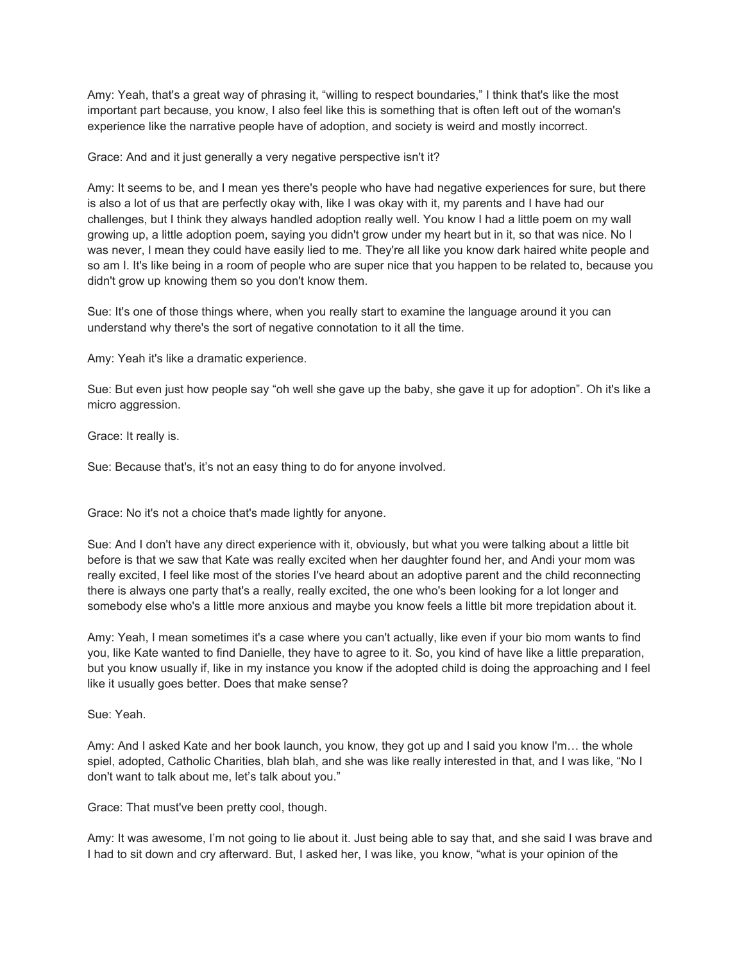Amy: Yeah, that's a great way of phrasing it, "willing to respect boundaries," I think that's like the most important part because, you know, I also feel like this is something that is often left out of the woman's experience like the narrative people have of adoption, and society is weird and mostly incorrect.

## Grace: And and it just generally a very negative perspective isn't it?

Amy: It seems to be, and I mean yes there's people who have had negative experiences for sure, but there is also a lot of us that are perfectly okay with, like I was okay with it, my parents and I have had our challenges, but I think they always handled adoption really well. You know I had a little poem on my wall growing up, a little adoption poem, saying you didn't grow under my heart but in it, so that was nice. No I was never, I mean they could have easily lied to me. They're all like you know dark haired white people and so am I. It's like being in a room of people who are super nice that you happen to be related to, because you didn't grow up knowing them so you don't know them.

Sue: It's one of those things where, when you really start to examine the language around it you can understand why there's the sort of negative connotation to it all the time.

Amy: Yeah it's like a dramatic experience.

Sue: But even just how people say "oh well she gave up the baby, she gave it up for adoption". Oh it's like a micro aggression.

Grace: It really is.

Sue: Because that's, it's not an easy thing to do for anyone involved.

Grace: No it's not a choice that's made lightly for anyone.

Sue: And I don't have any direct experience with it, obviously, but what you were talking about a little bit before is that we saw that Kate was really excited when her daughter found her, and Andi your mom was really excited, I feel like most of the stories I've heard about an adoptive parent and the child reconnecting there is always one party that's a really, really excited, the one who's been looking for a lot longer and somebody else who's a little more anxious and maybe you know feels a little bit more trepidation about it.

Amy: Yeah, I mean sometimes it's a case where you can't actually, like even if your bio mom wants to find you, like Kate wanted to find Danielle, they have to agree to it. So, you kind of have like a little preparation, but you know usually if, like in my instance you know if the adopted child is doing the approaching and I feel like it usually goes better. Does that make sense?

Sue: Yeah.

Amy: And I asked Kate and her book launch, you know, they got up and I said you know I'm… the whole spiel, adopted, Catholic Charities, blah blah, and she was like really interested in that, and I was like, "No I don't want to talk about me, let's talk about you."

Grace: That must've been pretty cool, though.

Amy: It was awesome, I'm not going to lie about it. Just being able to say that, and she said I was brave and I had to sit down and cry afterward. But, I asked her, I was like, you know, "what is your opinion of the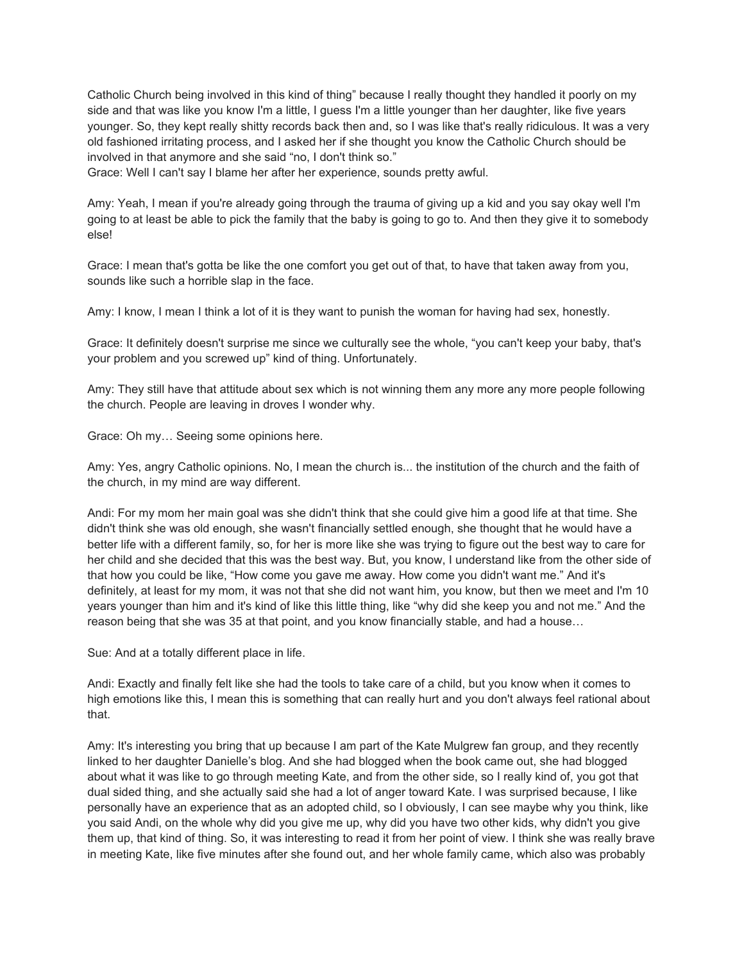Catholic Church being involved in this kind of thing" because I really thought they handled it poorly on my side and that was like you know I'm a little, I guess I'm a little younger than her daughter, like five years younger. So, they kept really shitty records back then and, so I was like that's really ridiculous. It was a very old fashioned irritating process, and I asked her if she thought you know the Catholic Church should be involved in that anymore and she said "no, I don't think so."

Grace: Well I can't say I blame her after her experience, sounds pretty awful.

Amy: Yeah, I mean if you're already going through the trauma of giving up a kid and you say okay well I'm going to at least be able to pick the family that the baby is going to go to. And then they give it to somebody else!

Grace: I mean that's gotta be like the one comfort you get out of that, to have that taken away from you, sounds like such a horrible slap in the face.

Amy: I know, I mean I think a lot of it is they want to punish the woman for having had sex, honestly.

Grace: It definitely doesn't surprise me since we culturally see the whole, "you can't keep your baby, that's your problem and you screwed up" kind of thing. Unfortunately.

Amy: They still have that attitude about sex which is not winning them any more any more people following the church. People are leaving in droves I wonder why.

Grace: Oh my… Seeing some opinions here.

Amy: Yes, angry Catholic opinions. No, I mean the church is... the institution of the church and the faith of the church, in my mind are way different.

Andi: For my mom her main goal was she didn't think that she could give him a good life at that time. She didn't think she was old enough, she wasn't financially settled enough, she thought that he would have a better life with a different family, so, for her is more like she was trying to figure out the best way to care for her child and she decided that this was the best way. But, you know, I understand like from the other side of that how you could be like, "How come you gave me away. How come you didn't want me." And it's definitely, at least for my mom, it was not that she did not want him, you know, but then we meet and I'm 10 years younger than him and it's kind of like this little thing, like "why did she keep you and not me." And the reason being that she was 35 at that point, and you know financially stable, and had a house…

Sue: And at a totally different place in life.

Andi: Exactly and finally felt like she had the tools to take care of a child, but you know when it comes to high emotions like this, I mean this is something that can really hurt and you don't always feel rational about that.

Amy: It's interesting you bring that up because I am part of the Kate Mulgrew fan group, and they recently linked to her daughter Danielle's blog. And she had blogged when the book came out, she had blogged about what it was like to go through meeting Kate, and from the other side, so I really kind of, you got that dual sided thing, and she actually said she had a lot of anger toward Kate. I was surprised because, I like personally have an experience that as an adopted child, so I obviously, I can see maybe why you think, like you said Andi, on the whole why did you give me up, why did you have two other kids, why didn't you give them up, that kind of thing. So, it was interesting to read it from her point of view. I think she was really brave in meeting Kate, like five minutes after she found out, and her whole family came, which also was probably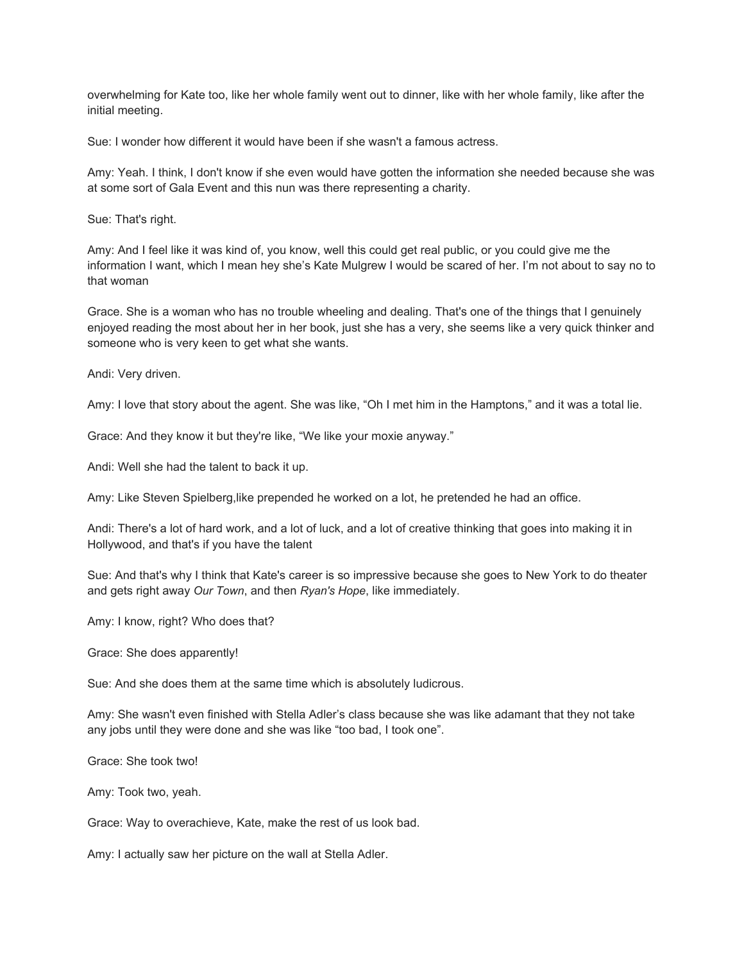overwhelming for Kate too, like her whole family went out to dinner, like with her whole family, like after the initial meeting.

Sue: I wonder how different it would have been if she wasn't a famous actress.

Amy: Yeah. I think, I don't know if she even would have gotten the information she needed because she was at some sort of Gala Event and this nun was there representing a charity.

Sue: That's right.

Amy: And I feel like it was kind of, you know, well this could get real public, or you could give me the information I want, which I mean hey she's Kate Mulgrew I would be scared of her. I'm not about to say no to that woman

Grace. She is a woman who has no trouble wheeling and dealing. That's one of the things that I genuinely enjoyed reading the most about her in her book, just she has a very, she seems like a very quick thinker and someone who is very keen to get what she wants.

Andi: Very driven.

Amy: I love that story about the agent. She was like, "Oh I met him in the Hamptons," and it was a total lie.

Grace: And they know it but they're like, "We like your moxie anyway."

Andi: Well she had the talent to back it up.

Amy: Like Steven Spielberg,like prepended he worked on a lot, he pretended he had an office.

Andi: There's a lot of hard work, and a lot of luck, and a lot of creative thinking that goes into making it in Hollywood, and that's if you have the talent

Sue: And that's why I think that Kate's career is so impressive because she goes to New York to do theater and gets right away *Our Town*, and then *Ryan's Hope*, like immediately.

Amy: I know, right? Who does that?

Grace: She does apparently!

Sue: And she does them at the same time which is absolutely ludicrous.

Amy: She wasn't even finished with Stella Adler's class because she was like adamant that they not take any jobs until they were done and she was like "too bad, I took one".

Grace: She took two!

Amy: Took two, yeah.

Grace: Way to overachieve, Kate, make the rest of us look bad.

Amy: I actually saw her picture on the wall at Stella Adler.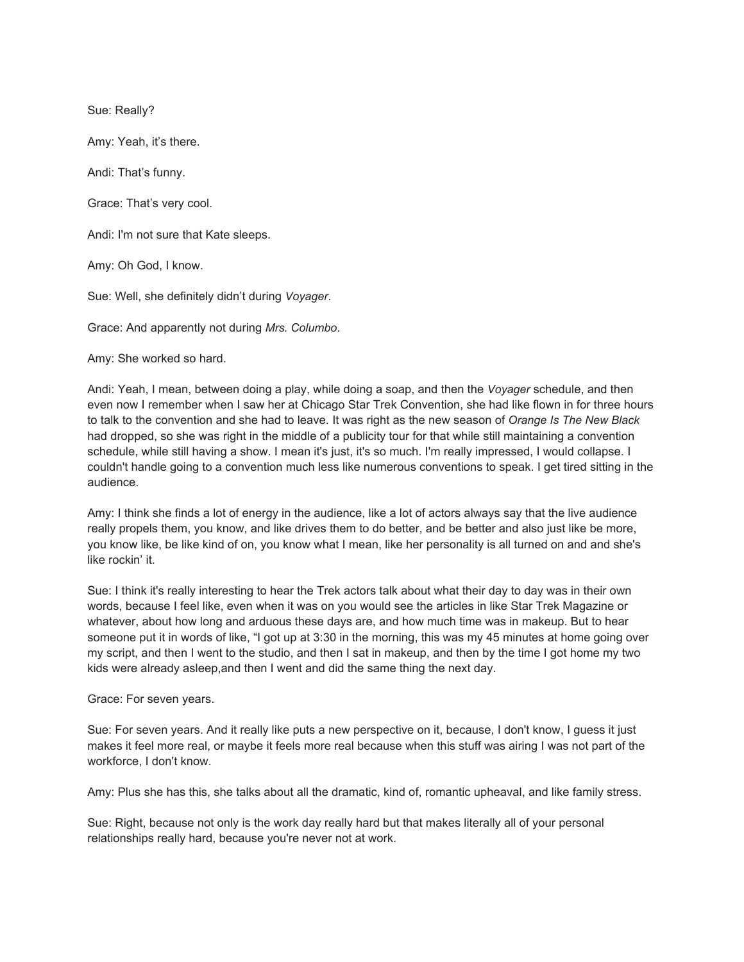Sue: Really?

Amy: Yeah, it's there.

Andi: That's funny.

Grace: That's very cool.

Andi: I'm not sure that Kate sleeps.

Amy: Oh God, I know.

Sue: Well, she definitely didn't during *Voyager*.

Grace: And apparently not during *Mrs. Columbo*.

Amy: She worked so hard.

Andi: Yeah, I mean, between doing a play, while doing a soap, and then the *Voyager* schedule, and then even now I remember when I saw her at Chicago Star Trek Convention, she had like flown in for three hours to talk to the convention and she had to leave. It was right as the new season of *Orange Is The New Black* had dropped, so she was right in the middle of a publicity tour for that while still maintaining a convention schedule, while still having a show. I mean it's just, it's so much. I'm really impressed, I would collapse. I couldn't handle going to a convention much less like numerous conventions to speak. I get tired sitting in the audience.

Amy: I think she finds a lot of energy in the audience, like a lot of actors always say that the live audience really propels them, you know, and like drives them to do better, and be better and also just like be more, you know like, be like kind of on, you know what I mean, like her personality is all turned on and and she's like rockin' it.

Sue: I think it's really interesting to hear the Trek actors talk about what their day to day was in their own words, because I feel like, even when it was on you would see the articles in like Star Trek Magazine or whatever, about how long and arduous these days are, and how much time was in makeup. But to hear someone put it in words of like, "I got up at 3:30 in the morning, this was my 45 minutes at home going over my script, and then I went to the studio, and then I sat in makeup, and then by the time I got home my two kids were already asleep,and then I went and did the same thing the next day.

## Grace: For seven years.

Sue: For seven years. And it really like puts a new perspective on it, because, I don't know, I guess it just makes it feel more real, or maybe it feels more real because when this stuff was airing I was not part of the workforce, I don't know.

Amy: Plus she has this, she talks about all the dramatic, kind of, romantic upheaval, and like family stress.

Sue: Right, because not only is the work day really hard but that makes literally all of your personal relationships really hard, because you're never not at work.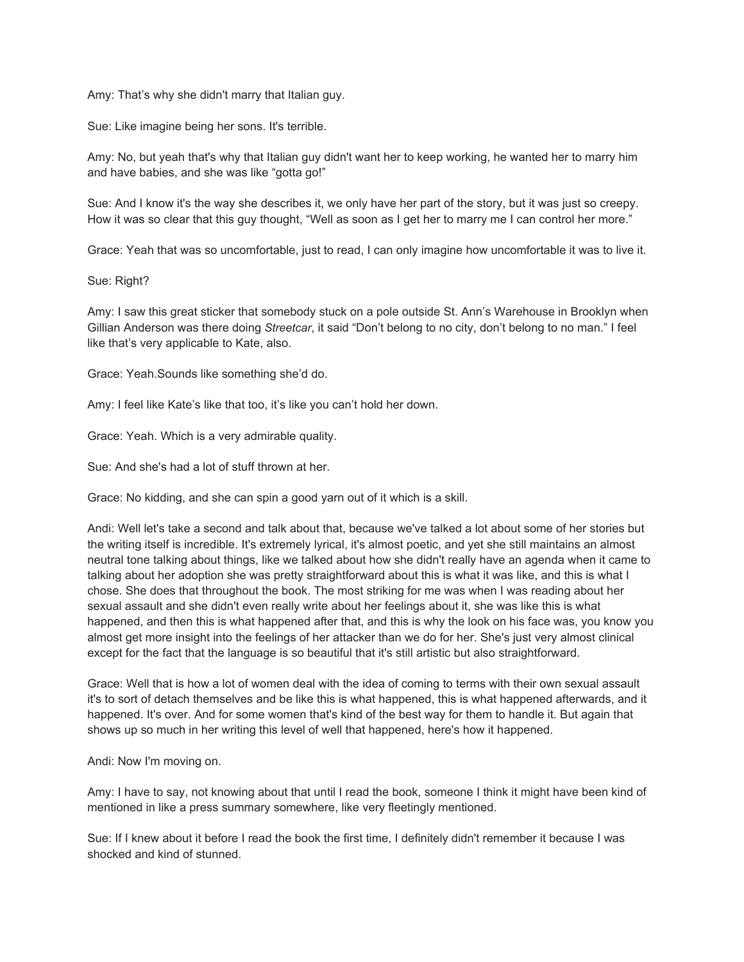Amy: That's why she didn't marry that Italian guy.

Sue: Like imagine being her sons. It's terrible.

Amy: No, but yeah that's why that Italian guy didn't want her to keep working, he wanted her to marry him and have babies, and she was like "gotta go!"

Sue: And I know it's the way she describes it, we only have her part of the story, but it was just so creepy. How it was so clear that this guy thought, "Well as soon as I get her to marry me I can control her more."

Grace: Yeah that was so uncomfortable, just to read, I can only imagine how uncomfortable it was to live it.

Sue: Right?

Amy: I saw this great sticker that somebody stuck on a pole outside St. Ann's Warehouse in Brooklyn when Gillian Anderson was there doing *Streetcar*, it said "Don't belong to no city, don't belong to no man." I feel like that's very applicable to Kate, also.

Grace: Yeah.Sounds like something she'd do.

Amy: I feel like Kate's like that too, it's like you can't hold her down.

Grace: Yeah. Which is a very admirable quality.

Sue: And she's had a lot of stuff thrown at her.

Grace: No kidding, and she can spin a good yarn out of it which is a skill.

Andi: Well let's take a second and talk about that, because we've talked a lot about some of her stories but the writing itself is incredible. It's extremely lyrical, it's almost poetic, and yet she still maintains an almost neutral tone talking about things, like we talked about how she didn't really have an agenda when it came to talking about her adoption she was pretty straightforward about this is what it was like, and this is what I chose. She does that throughout the book. The most striking for me was when I was reading about her sexual assault and she didn't even really write about her feelings about it, she was like this is what happened, and then this is what happened after that, and this is why the look on his face was, you know you almost get more insight into the feelings of her attacker than we do for her. She's just very almost clinical except for the fact that the language is so beautiful that it's still artistic but also straightforward.

Grace: Well that is how a lot of women deal with the idea of coming to terms with their own sexual assault it's to sort of detach themselves and be like this is what happened, this is what happened afterwards, and it happened. It's over. And for some women that's kind of the best way for them to handle it. But again that shows up so much in her writing this level of well that happened, here's how it happened.

Andi: Now I'm moving on.

Amy: I have to say, not knowing about that until I read the book, someone I think it might have been kind of mentioned in like a press summary somewhere, like very fleetingly mentioned.

Sue: If I knew about it before I read the book the first time, I definitely didn't remember it because I was shocked and kind of stunned.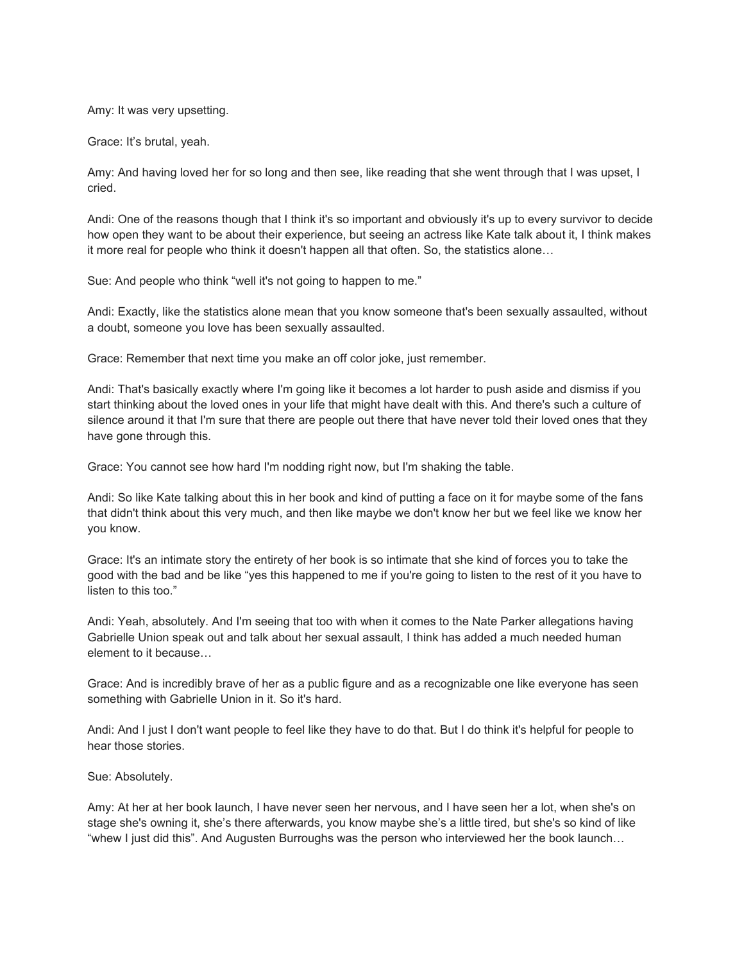Amy: It was very upsetting.

Grace: It's brutal, yeah.

Amy: And having loved her for so long and then see, like reading that she went through that I was upset, I cried.

Andi: One of the reasons though that I think it's so important and obviously it's up to every survivor to decide how open they want to be about their experience, but seeing an actress like Kate talk about it, I think makes it more real for people who think it doesn't happen all that often. So, the statistics alone…

Sue: And people who think "well it's not going to happen to me."

Andi: Exactly, like the statistics alone mean that you know someone that's been sexually assaulted, without a doubt, someone you love has been sexually assaulted.

Grace: Remember that next time you make an off color joke, just remember.

Andi: That's basically exactly where I'm going like it becomes a lot harder to push aside and dismiss if you start thinking about the loved ones in your life that might have dealt with this. And there's such a culture of silence around it that I'm sure that there are people out there that have never told their loved ones that they have gone through this.

Grace: You cannot see how hard I'm nodding right now, but I'm shaking the table.

Andi: So like Kate talking about this in her book and kind of putting a face on it for maybe some of the fans that didn't think about this very much, and then like maybe we don't know her but we feel like we know her you know.

Grace: It's an intimate story the entirety of her book is so intimate that she kind of forces you to take the good with the bad and be like "yes this happened to me if you're going to listen to the rest of it you have to listen to this too."

Andi: Yeah, absolutely. And I'm seeing that too with when it comes to the Nate Parker allegations having Gabrielle Union speak out and talk about her sexual assault, I think has added a much needed human element to it because…

Grace: And is incredibly brave of her as a public figure and as a recognizable one like everyone has seen something with Gabrielle Union in it. So it's hard.

Andi: And I just I don't want people to feel like they have to do that. But I do think it's helpful for people to hear those stories.

Sue: Absolutely.

Amy: At her at her book launch, I have never seen her nervous, and I have seen her a lot, when she's on stage she's owning it, she's there afterwards, you know maybe she's a little tired, but she's so kind of like "whew I just did this". And Augusten Burroughs was the person who interviewed her the book launch…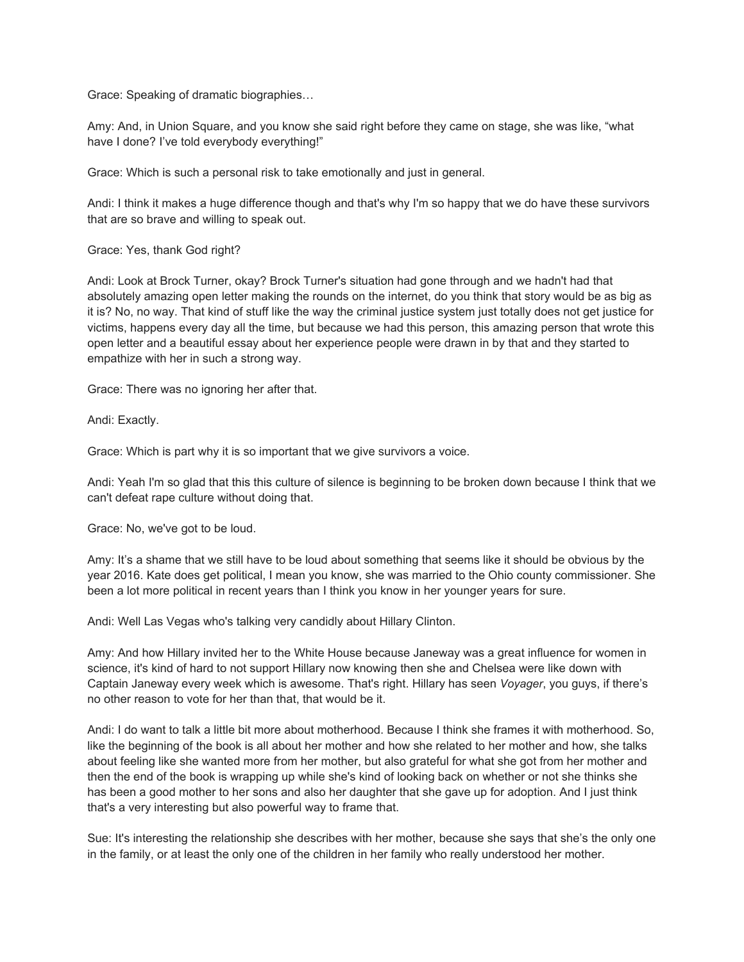Grace: Speaking of dramatic biographies…

Amy: And, in Union Square, and you know she said right before they came on stage, she was like, "what have I done? I've told everybody everything!"

Grace: Which is such a personal risk to take emotionally and just in general.

Andi: I think it makes a huge difference though and that's why I'm so happy that we do have these survivors that are so brave and willing to speak out.

Grace: Yes, thank God right?

Andi: Look at Brock Turner, okay? Brock Turner's situation had gone through and we hadn't had that absolutely amazing open letter making the rounds on the internet, do you think that story would be as big as it is? No, no way. That kind of stuff like the way the criminal justice system just totally does not get justice for victims, happens every day all the time, but because we had this person, this amazing person that wrote this open letter and a beautiful essay about her experience people were drawn in by that and they started to empathize with her in such a strong way.

Grace: There was no ignoring her after that.

Andi: Exactly.

Grace: Which is part why it is so important that we give survivors a voice.

Andi: Yeah I'm so glad that this this culture of silence is beginning to be broken down because I think that we can't defeat rape culture without doing that.

Grace: No, we've got to be loud.

Amy: It's a shame that we still have to be loud about something that seems like it should be obvious by the year 2016. Kate does get political, I mean you know, she was married to the Ohio county commissioner. She been a lot more political in recent years than I think you know in her younger years for sure.

Andi: Well Las Vegas who's talking very candidly about Hillary Clinton.

Amy: And how Hillary invited her to the White House because Janeway was a great influence for women in science, it's kind of hard to not support Hillary now knowing then she and Chelsea were like down with Captain Janeway every week which is awesome. That's right. Hillary has seen *Voyager*, you guys, if there's no other reason to vote for her than that, that would be it.

Andi: I do want to talk a little bit more about motherhood. Because I think she frames it with motherhood. So, like the beginning of the book is all about her mother and how she related to her mother and how, she talks about feeling like she wanted more from her mother, but also grateful for what she got from her mother and then the end of the book is wrapping up while she's kind of looking back on whether or not she thinks she has been a good mother to her sons and also her daughter that she gave up for adoption. And I just think that's a very interesting but also powerful way to frame that.

Sue: It's interesting the relationship she describes with her mother, because she says that she's the only one in the family, or at least the only one of the children in her family who really understood her mother.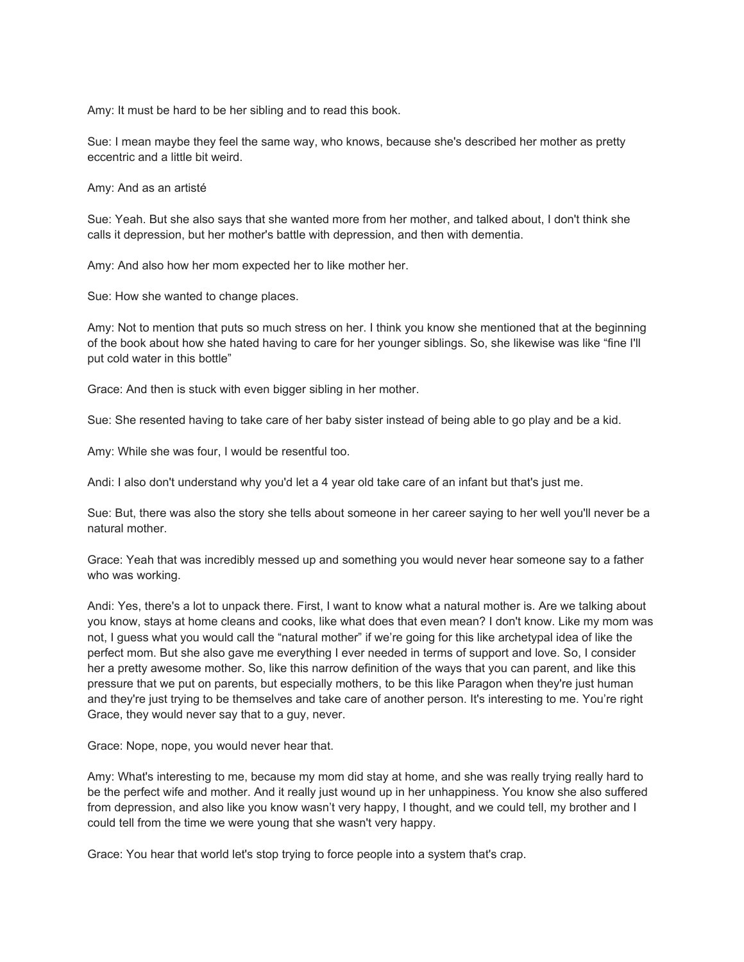Amy: It must be hard to be her sibling and to read this book.

Sue: I mean maybe they feel the same way, who knows, because she's described her mother as pretty eccentric and a little bit weird.

Amy: And as an artisté

Sue: Yeah. But she also says that she wanted more from her mother, and talked about, I don't think she calls it depression, but her mother's battle with depression, and then with dementia.

Amy: And also how her mom expected her to like mother her.

Sue: How she wanted to change places.

Amy: Not to mention that puts so much stress on her. I think you know she mentioned that at the beginning of the book about how she hated having to care for her younger siblings. So, she likewise was like "fine I'll put cold water in this bottle"

Grace: And then is stuck with even bigger sibling in her mother.

Sue: She resented having to take care of her baby sister instead of being able to go play and be a kid.

Amy: While she was four, I would be resentful too.

Andi: I also don't understand why you'd let a 4 year old take care of an infant but that's just me.

Sue: But, there was also the story she tells about someone in her career saying to her well you'll never be a natural mother.

Grace: Yeah that was incredibly messed up and something you would never hear someone say to a father who was working.

Andi: Yes, there's a lot to unpack there. First, I want to know what a natural mother is. Are we talking about you know, stays at home cleans and cooks, like what does that even mean? I don't know. Like my mom was not, I guess what you would call the "natural mother" if we're going for this like archetypal idea of like the perfect mom. But she also gave me everything I ever needed in terms of support and love. So, I consider her a pretty awesome mother. So, like this narrow definition of the ways that you can parent, and like this pressure that we put on parents, but especially mothers, to be this like Paragon when they're just human and they're just trying to be themselves and take care of another person. It's interesting to me. You're right Grace, they would never say that to a guy, never.

Grace: Nope, nope, you would never hear that.

Amy: What's interesting to me, because my mom did stay at home, and she was really trying really hard to be the perfect wife and mother. And it really just wound up in her unhappiness. You know she also suffered from depression, and also like you know wasn't very happy, I thought, and we could tell, my brother and I could tell from the time we were young that she wasn't very happy.

Grace: You hear that world let's stop trying to force people into a system that's crap.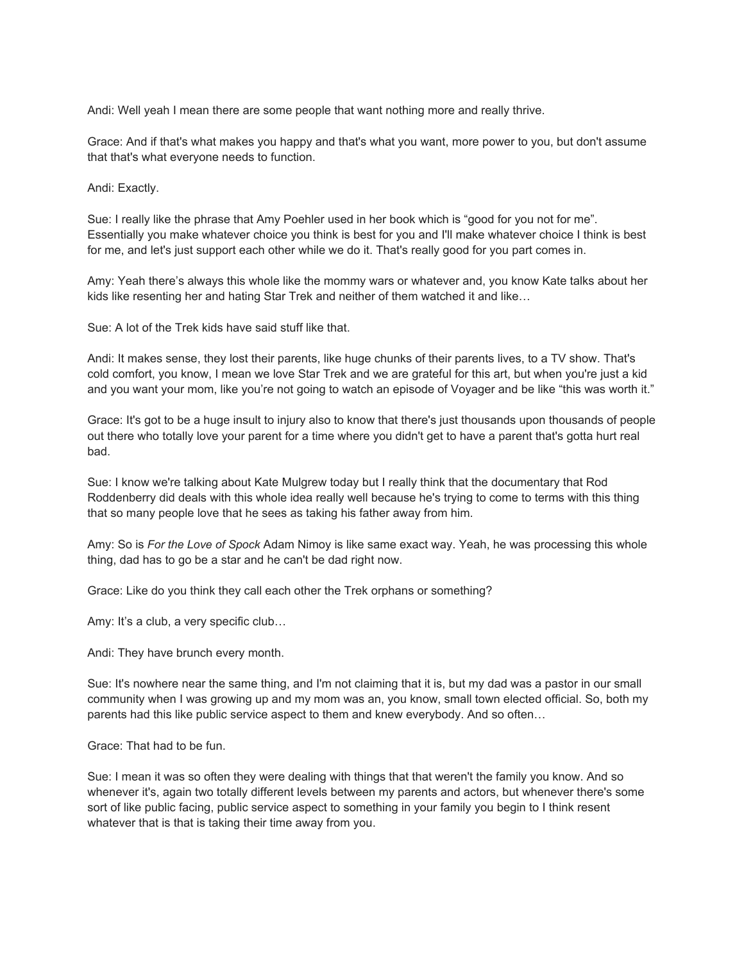Andi: Well yeah I mean there are some people that want nothing more and really thrive.

Grace: And if that's what makes you happy and that's what you want, more power to you, but don't assume that that's what everyone needs to function.

Andi: Exactly.

Sue: I really like the phrase that Amy Poehler used in her book which is "good for you not for me". Essentially you make whatever choice you think is best for you and I'll make whatever choice I think is best for me, and let's just support each other while we do it. That's really good for you part comes in.

Amy: Yeah there's always this whole like the mommy wars or whatever and, you know Kate talks about her kids like resenting her and hating Star Trek and neither of them watched it and like…

Sue: A lot of the Trek kids have said stuff like that.

Andi: It makes sense, they lost their parents, like huge chunks of their parents lives, to a TV show. That's cold comfort, you know, I mean we love Star Trek and we are grateful for this art, but when you're just a kid and you want your mom, like you're not going to watch an episode of Voyager and be like "this was worth it."

Grace: It's got to be a huge insult to injury also to know that there's just thousands upon thousands of people out there who totally love your parent for a time where you didn't get to have a parent that's gotta hurt real bad.

Sue: I know we're talking about Kate Mulgrew today but I really think that the documentary that Rod Roddenberry did deals with this whole idea really well because he's trying to come to terms with this thing that so many people love that he sees as taking his father away from him.

Amy: So is *For the Love of Spock* Adam Nimoy is like same exact way. Yeah, he was processing this whole thing, dad has to go be a star and he can't be dad right now.

Grace: Like do you think they call each other the Trek orphans or something?

Amy: It's a club, a very specific club...

Andi: They have brunch every month.

Sue: It's nowhere near the same thing, and I'm not claiming that it is, but my dad was a pastor in our small community when I was growing up and my mom was an, you know, small town elected official. So, both my parents had this like public service aspect to them and knew everybody. And so often…

Grace: That had to be fun.

Sue: I mean it was so often they were dealing with things that that weren't the family you know. And so whenever it's, again two totally different levels between my parents and actors, but whenever there's some sort of like public facing, public service aspect to something in your family you begin to I think resent whatever that is that is taking their time away from you.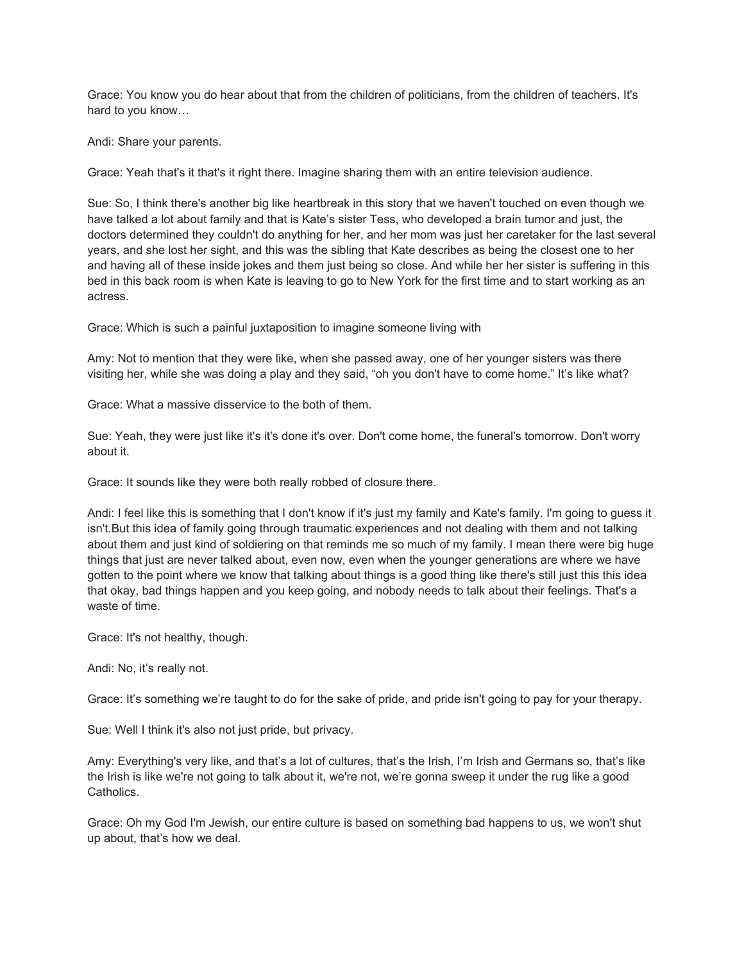Grace: You know you do hear about that from the children of politicians, from the children of teachers. It's hard to you know…

Andi: Share your parents.

Grace: Yeah that's it that's it right there. Imagine sharing them with an entire television audience.

Sue: So, I think there's another big like heartbreak in this story that we haven't touched on even though we have talked a lot about family and that is Kate's sister Tess, who developed a brain tumor and just, the doctors determined they couldn't do anything for her, and her mom was just her caretaker for the last several years, and she lost her sight, and this was the sibling that Kate describes as being the closest one to her and having all of these inside jokes and them just being so close. And while her her sister is suffering in this bed in this back room is when Kate is leaving to go to New York for the first time and to start working as an actress.

Grace: Which is such a painful juxtaposition to imagine someone living with

Amy: Not to mention that they were like, when she passed away, one of her younger sisters was there visiting her, while she was doing a play and they said, "oh you don't have to come home." It's like what?

Grace: What a massive disservice to the both of them.

Sue: Yeah, they were just like it's it's done it's over. Don't come home, the funeral's tomorrow. Don't worry about it.

Grace: It sounds like they were both really robbed of closure there.

Andi: I feel like this is something that I don't know if it's just my family and Kate's family. I'm going to guess it isn't.But this idea of family going through traumatic experiences and not dealing with them and not talking about them and just kind of soldiering on that reminds me so much of my family. I mean there were big huge things that just are never talked about, even now, even when the younger generations are where we have gotten to the point where we know that talking about things is a good thing like there's still just this this idea that okay, bad things happen and you keep going, and nobody needs to talk about their feelings. That's a waste of time.

Grace: It's not healthy, though.

Andi: No, it's really not.

Grace: It's something we're taught to do for the sake of pride, and pride isn't going to pay for your therapy.

Sue: Well I think it's also not just pride, but privacy.

Amy: Everything's very like, and that's a lot of cultures, that's the Irish, I'm Irish and Germans so, that's like the Irish is like we're not going to talk about it, we're not, we're gonna sweep it under the rug like a good Catholics.

Grace: Oh my God I'm Jewish, our entire culture is based on something bad happens to us, we won't shut up about, that's how we deal.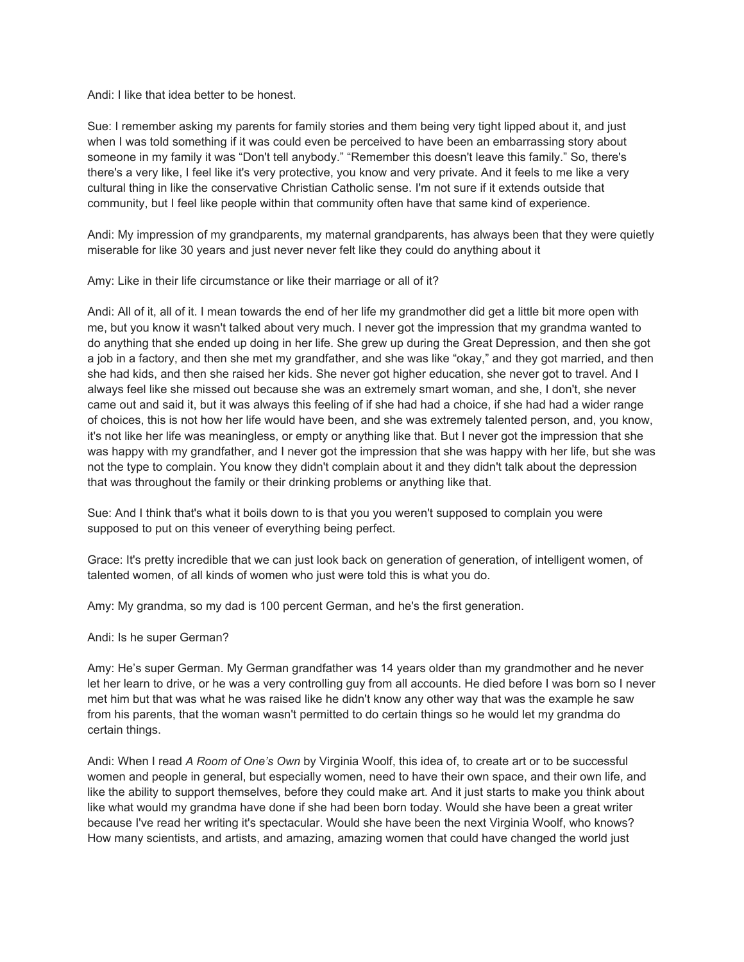Andi: I like that idea better to be honest.

Sue: I remember asking my parents for family stories and them being very tight lipped about it, and just when I was told something if it was could even be perceived to have been an embarrassing story about someone in my family it was "Don't tell anybody." "Remember this doesn't leave this family." So, there's there's a very like, I feel like it's very protective, you know and very private. And it feels to me like a very cultural thing in like the conservative Christian Catholic sense. I'm not sure if it extends outside that community, but I feel like people within that community often have that same kind of experience.

Andi: My impression of my grandparents, my maternal grandparents, has always been that they were quietly miserable for like 30 years and just never never felt like they could do anything about it

Amy: Like in their life circumstance or like their marriage or all of it?

Andi: All of it, all of it. I mean towards the end of her life my grandmother did get a little bit more open with me, but you know it wasn't talked about very much. I never got the impression that my grandma wanted to do anything that she ended up doing in her life. She grew up during the Great Depression, and then she got a job in a factory, and then she met my grandfather, and she was like "okay," and they got married, and then she had kids, and then she raised her kids. She never got higher education, she never got to travel. And I always feel like she missed out because she was an extremely smart woman, and she, I don't, she never came out and said it, but it was always this feeling of if she had had a choice, if she had had a wider range of choices, this is not how her life would have been, and she was extremely talented person, and, you know, it's not like her life was meaningless, or empty or anything like that. But I never got the impression that she was happy with my grandfather, and I never got the impression that she was happy with her life, but she was not the type to complain. You know they didn't complain about it and they didn't talk about the depression that was throughout the family or their drinking problems or anything like that.

Sue: And I think that's what it boils down to is that you you weren't supposed to complain you were supposed to put on this veneer of everything being perfect.

Grace: It's pretty incredible that we can just look back on generation of generation, of intelligent women, of talented women, of all kinds of women who just were told this is what you do.

Amy: My grandma, so my dad is 100 percent German, and he's the first generation.

Andi: Is he super German?

Amy: He's super German. My German grandfather was 14 years older than my grandmother and he never let her learn to drive, or he was a very controlling guy from all accounts. He died before I was born so I never met him but that was what he was raised like he didn't know any other way that was the example he saw from his parents, that the woman wasn't permitted to do certain things so he would let my grandma do certain things.

Andi: When I read *A Room of One's Own* by Virginia Woolf, this idea of, to create art or to be successful women and people in general, but especially women, need to have their own space, and their own life, and like the ability to support themselves, before they could make art. And it just starts to make you think about like what would my grandma have done if she had been born today. Would she have been a great writer because I've read her writing it's spectacular. Would she have been the next Virginia Woolf, who knows? How many scientists, and artists, and amazing, amazing women that could have changed the world just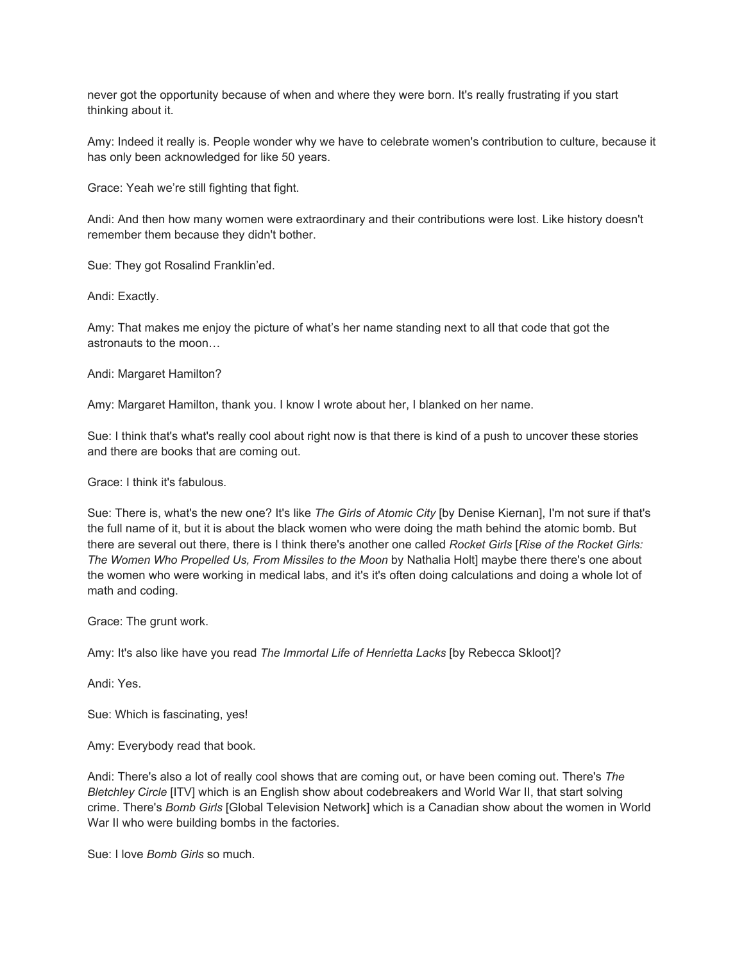never got the opportunity because of when and where they were born. It's really frustrating if you start thinking about it.

Amy: Indeed it really is. People wonder why we have to celebrate women's contribution to culture, because it has only been acknowledged for like 50 years.

Grace: Yeah we're still fighting that fight.

Andi: And then how many women were extraordinary and their contributions were lost. Like history doesn't remember them because they didn't bother.

Sue: They got Rosalind Franklin'ed.

Andi: Exactly.

Amy: That makes me enjoy the picture of what's her name standing next to all that code that got the astronauts to the moon…

Andi: Margaret Hamilton?

Amy: Margaret Hamilton, thank you. I know I wrote about her, I blanked on her name.

Sue: I think that's what's really cool about right now is that there is kind of a push to uncover these stories and there are books that are coming out.

Grace: I think it's fabulous.

Sue: There is, what's the new one? It's like *The Girls of Atomic City* [by Denise Kiernan], I'm not sure if that's the full name of it, but it is about the black women who were doing the math behind the atomic bomb. But there are several out there, there is I think there's another one called *Rocket Girls* [*Rise of the Rocket Girls: The Women Who Propelled Us, From Missiles to the Moon* by Nathalia Holt] maybe there there's one about the women who were working in medical labs, and it's it's often doing calculations and doing a whole lot of math and coding.

Grace: The grunt work.

Amy: It's also like have you read *The Immortal Life of Henrietta Lacks* [by Rebecca Skloot]?

Andi: Yes.

Sue: Which is fascinating, yes!

Amy: Everybody read that book.

Andi: There's also a lot of really cool shows that are coming out, or have been coming out. There's *The Bletchley Circle* [ITV] which is an English show about codebreakers and World War II, that start solving crime. There's *Bomb Girls* [Global Television Network] which is a Canadian show about the women in World War II who were building bombs in the factories.

Sue: I love *Bomb Girls* so much.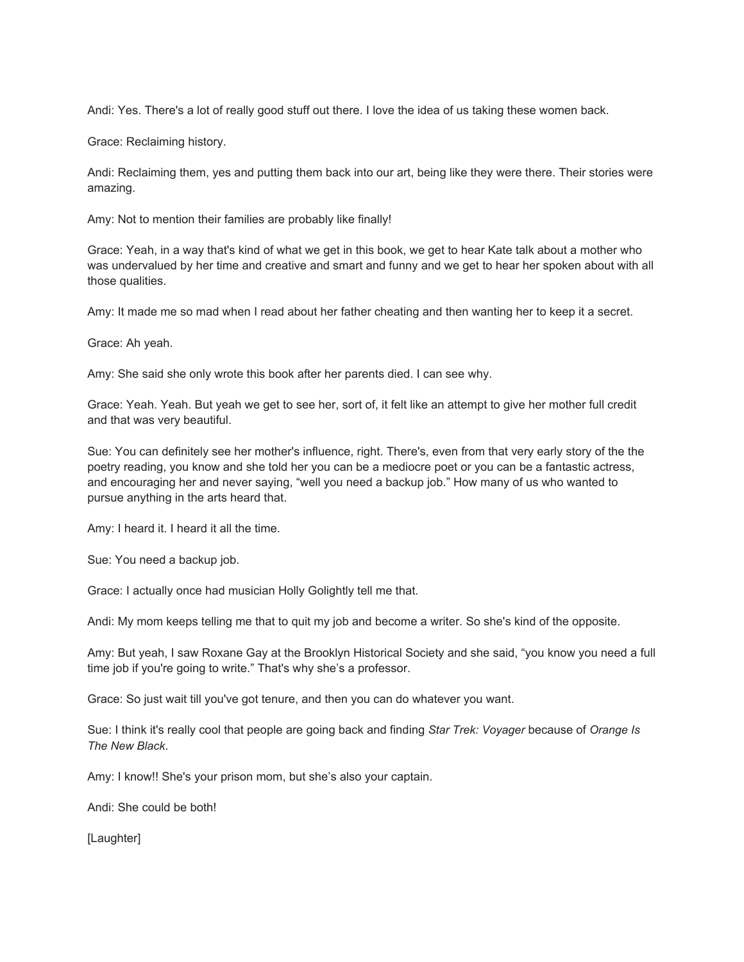Andi: Yes. There's a lot of really good stuff out there. I love the idea of us taking these women back.

Grace: Reclaiming history.

Andi: Reclaiming them, yes and putting them back into our art, being like they were there. Their stories were amazing.

Amy: Not to mention their families are probably like finally!

Grace: Yeah, in a way that's kind of what we get in this book, we get to hear Kate talk about a mother who was undervalued by her time and creative and smart and funny and we get to hear her spoken about with all those qualities.

Amy: It made me so mad when I read about her father cheating and then wanting her to keep it a secret.

Grace: Ah yeah.

Amy: She said she only wrote this book after her parents died. I can see why.

Grace: Yeah. Yeah. But yeah we get to see her, sort of, it felt like an attempt to give her mother full credit and that was very beautiful.

Sue: You can definitely see her mother's influence, right. There's, even from that very early story of the the poetry reading, you know and she told her you can be a mediocre poet or you can be a fantastic actress, and encouraging her and never saying, "well you need a backup job." How many of us who wanted to pursue anything in the arts heard that.

Amy: I heard it. I heard it all the time.

Sue: You need a backup job.

Grace: I actually once had musician Holly Golightly tell me that.

Andi: My mom keeps telling me that to quit my job and become a writer. So she's kind of the opposite.

Amy: But yeah, I saw Roxane Gay at the Brooklyn Historical Society and she said, "you know you need a full time job if you're going to write." That's why she's a professor.

Grace: So just wait till you've got tenure, and then you can do whatever you want.

Sue: I think it's really cool that people are going back and finding *Star Trek: Voyager* because of *Orange Is The New Black*.

Amy: I know!! She's your prison mom, but she's also your captain.

Andi: She could be both!

[Laughter]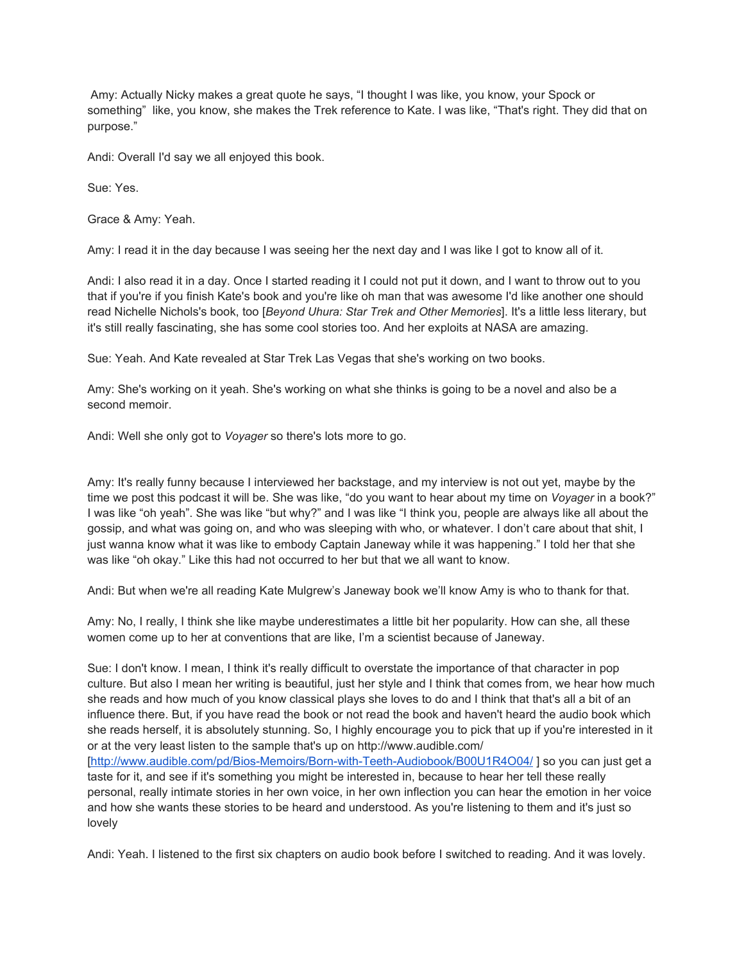Amy: Actually Nicky makes a great quote he says, "I thought I was like, you know, your Spock or something" like, you know, she makes the Trek reference to Kate. I was like, "That's right. They did that on purpose."

Andi: Overall I'd say we all enjoyed this book.

Sue: Yes.

Grace & Amy: Yeah.

Amy: I read it in the day because I was seeing her the next day and I was like I got to know all of it.

Andi: I also read it in a day. Once I started reading it I could not put it down, and I want to throw out to you that if you're if you finish Kate's book and you're like oh man that was awesome I'd like another one should read Nichelle Nichols's book, too [*Beyond Uhura: Star Trek and Other Memories*]. It's a little less literary, but it's still really fascinating, she has some cool stories too. And her exploits at NASA are amazing.

Sue: Yeah. And Kate revealed at Star Trek Las Vegas that she's working on two books.

Amy: She's working on it yeah. She's working on what she thinks is going to be a novel and also be a second memoir.

Andi: Well she only got to *Voyager* so there's lots more to go.

Amy: It's really funny because I interviewed her backstage, and my interview is not out yet, maybe by the time we post this podcast it will be. She was like, "do you want to hear about my time on *Voyager* in a book?" I was like "oh yeah". She was like "but why?" and I was like "I think you, people are always like all about the gossip, and what was going on, and who was sleeping with who, or whatever. I don't care about that shit, I just wanna know what it was like to embody Captain Janeway while it was happening." I told her that she was like "oh okay." Like this had not occurred to her but that we all want to know.

Andi: But when we're all reading Kate Mulgrew's Janeway book we'll know Amy is who to thank for that.

Amy: No, I really, I think she like maybe underestimates a little bit her popularity. How can she, all these women come up to her at conventions that are like, I'm a scientist because of Janeway.

Sue: I don't know. I mean, I think it's really difficult to overstate the importance of that character in pop culture. But also I mean her writing is beautiful, just her style and I think that comes from, we hear how much she reads and how much of you know classical plays she loves to do and I think that that's all a bit of an influence there. But, if you have read the book or not read the book and haven't heard the audio book which she reads herself, it is absolutely stunning. So, I highly encourage you to pick that up if you're interested in it or at the very least listen to the sample that's up on http://www.audible.com/ [\[http://www.audible.com/pd/Bios-Memoirs/Born-with-Teeth-Audiobook/B00U1R4O04/](http://www.audible.com/pd/Bios-Memoirs/Born-with-Teeth-Audiobook/B00U1R4O04/) ] so you can just get a taste for it, and see if it's something you might be interested in, because to hear her tell these really personal, really intimate stories in her own voice, in her own inflection you can hear the emotion in her voice and how she wants these stories to be heard and understood. As you're listening to them and it's just so lovely

Andi: Yeah. I listened to the first six chapters on audio book before I switched to reading. And it was lovely.